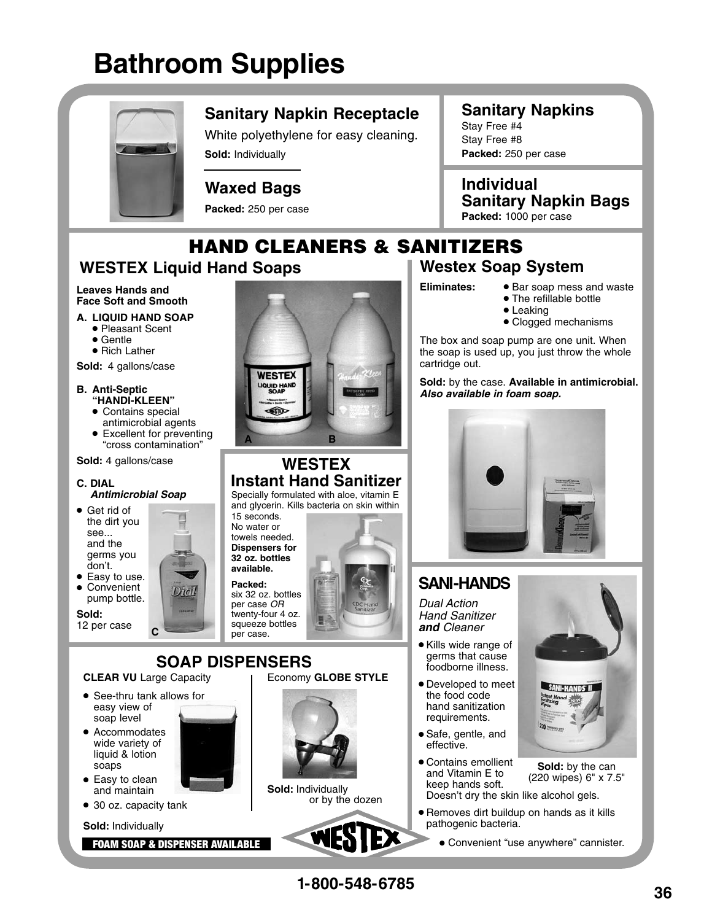# **Bathroom Supplies**



### **Sanitary Napkin Receptacle**

White polyethylene for easy cleaning. **Sold:** Individually

#### **Waxed Bags**

**Packed:** 250 per case

## **Sanitary Napkins**

Stay Free #4 Stay Free #8 **Packed:** 250 per case

**Individual Sanitary Napkin Bags**

# HAND CLEANERS & SANITIZERS

## **WESTEX Liquid Hand Soaps**

#### **Leaves Hands and Face Soft and Smooth**

- **A. LIQUID HAND SOAP**
- Pleasant Scent<br>• Gentle
	-
	- Rich Lather

**Sold:** 4 gallons/case

#### **B. Anti-Septic "HANDI-KLEEN"**

- 
- Contains special<br>antimicrobial agents Excellent for preventing
- "cross contamination"

**Sold:** 4 gallons/case

#### **C. DIAL Antimicrobial Soap**

- Get rid of the dirt you see... and the germs you don't. • Easy to use.
- Convenient
- pump bottle.

**Sold:** 

12 per case



#### **WESTEX Instant Hand Sanitizer**

Specially formulated with aloe, vitamin E and glycerin. Kills bacteria on skin within

15 seconds. No water or towels needed. **Dispensers for 32 oz. bottles available.**

**Packed:** six 32 oz. bottles per case OR twenty-four 4 oz. squeeze bottles







**Packed:** 1000 per case

# **Westex Soap System**

- **Eliminates:** Bar soap mess and waste • The refillable bottle
	- Leaking
	- Clogged mechanisms

The box and soap pump are one unit. When the soap is used up, you just throw the whole cartridge out.

**Sold:** by the case. **Available in antimicrobial. Also available in foam soap.** 



## **SANI-HANDS**

Dual Action Hand Sanitizer **and** Cleaner

- Kills wide range of germs that cause foodborne illness.
- Developed to meet the food code hand sanitization requirements.
- Safe, gentle, and effective.
- Contains emollient and Vitamin E to keep hands soft. Doesn't dry the skin like alcohol gels. **Sold:** by the can (220 wipes) 6" x 7.5"
- Removes dirt buildup on hands as it kills pathogenic bacteria.
	- Convenient "use anywhere" cannister.







Dich **C**

**CLEAR VU** Large Capacity See-thru tank allows for

easy view of soap level • Accommodates wide variety of liquid & lotion soaps • Easy to clean and maintain ● 30 oz. capacity tank

**Sold:** Individually

FOAM SOAP & DISPENSER AVAILABLE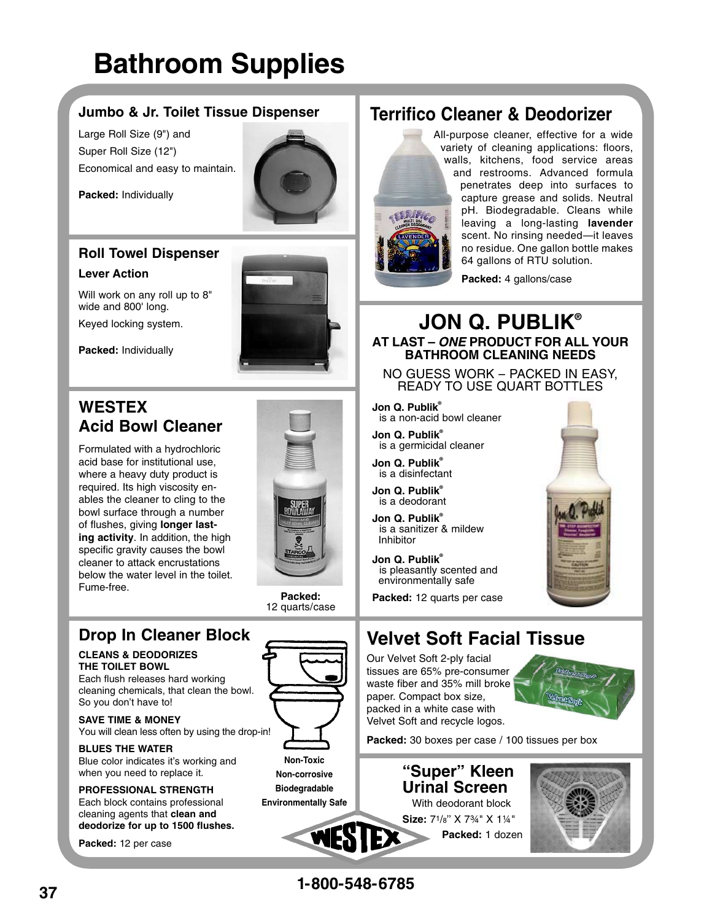# **Bathroom Supplies**

#### **Jumbo & Jr. Toilet Tissue Dispenser**

Large Roll Size (9") and Super Roll Size (12") Economical and easy to maintain.



**Packed:** Individually

#### **Roll Towel Dispenser**

Will work on any roll up to 8"

#### **Lever Action**



**Packed:** Individually

wide and 800' long. Keyed locking system.

## **WESTEX Acid Bowl Cleaner**

Formulated with a hydrochloric acid base for institutional use, where a heavy duty product is required. Its high viscosity enables the cleaner to cling to the bowl surface through a number of flushes, giving **longer lasting activity**. In addition, the high specific gravity causes the bowl cleaner to attack encrustations below the water level in the toilet. Fume-free.

**Packed:** 12 quarts/case

## **Drop In Cleaner Block**

#### **CLEANS & DEODORIZES THE TOILET BOWL**

Each flush releases hard working cleaning chemicals, that clean the bowl. So you don't have to!

**SAVE TIME & MONEY** You will clean less often by using the drop-in!

**BLUES THE WATER** Blue color indicates it's working and when you need to replace it.

#### **PROFESSIONAL STRENGTH** Each block contains professional cleaning agents that **clean and deodorize for up to 1500 flushes.**

**Packed:** 12 per case



**Non-Toxic**





# **Terrifico Cleaner & Deodorizer**



All-purpose cleaner, effective for a wide variety of cleaning applications: floors, walls, kitchens, food service areas and restrooms. Advanced formula penetrates deep into surfaces to capture grease and solids. Neutral pH. Biodegradable. Cleans while leaving a long-lasting **lavender**  scent. No rinsing needed—it leaves no residue. One gallon bottle makes 64 gallons of RTU solution.

**Packed:** 4 gallons/case

#### **JON Q. PUBLIK® AT LAST – ONE PRODUCT FOR ALL YOUR BATHROOM CLEANING NEEDS**

NO GUESS WORK – PACKED IN EASY, READY TO USE QUART BOTTLES

**Jon Q. Publik®** is a non-acid bowl cleaner

**Jon Q. Publik®** is a germicidal cleaner

**Jon Q. Publik®** is a disinfectant

**Jon Q. Publik®** is a deodorant

**Jon Q. Publik®** is a sanitizer & mildew Inhibitor

**Jon Q. Publik®** is pleasantly scented and environmentally safe

**Packed:** 12 quarts per case

# **Velvet Soft Facial Tissue**

Our Velvet Soft 2-ply facial tissues are 65% pre-consumer waste fiber and 35% mill broke paper. Compact box size, packed in a white case with Velvet Soft and recycle logos.



Packed: 30 boxes per case / 100 tissues per box





**1-800-548-6785**